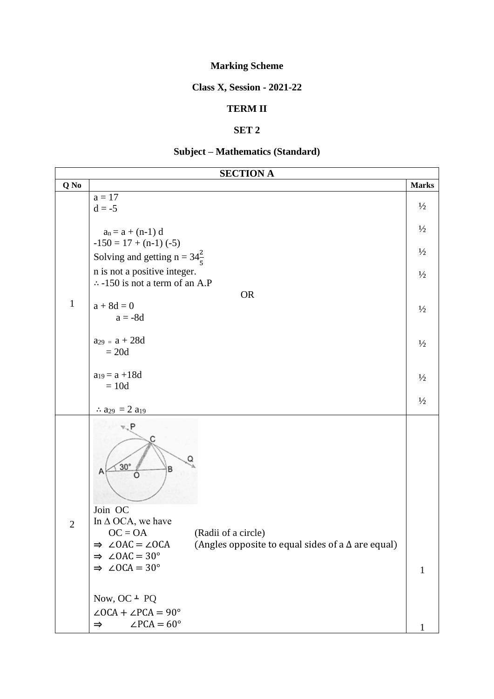# **Marking Scheme**

#### **Class X, Session - 2021-22**

#### **TERM II**

### **SET 2**

## **Subject – Mathematics (Standard)**

| <b>SECTION A</b> |                                                                                                                                                                                                                                      |               |  |  |
|------------------|--------------------------------------------------------------------------------------------------------------------------------------------------------------------------------------------------------------------------------------|---------------|--|--|
| Q No             |                                                                                                                                                                                                                                      | <b>Marks</b>  |  |  |
| $\mathbf{1}$     | $a = 17$<br>$d = -5$                                                                                                                                                                                                                 | $\frac{1}{2}$ |  |  |
|                  | $a_n = a + (n-1) d$<br>$-150 = 17 + (n-1) (-5)$                                                                                                                                                                                      | $\frac{1}{2}$ |  |  |
|                  | Solving and getting $n = 34\frac{2}{5}$                                                                                                                                                                                              | $\frac{1}{2}$ |  |  |
|                  | n is not a positive integer.<br>$\therefore$ -150 is not a term of an A.P                                                                                                                                                            | $\frac{1}{2}$ |  |  |
|                  | <b>OR</b>                                                                                                                                                                                                                            |               |  |  |
|                  | $a + 8d = 0$<br>$a = -8d$                                                                                                                                                                                                            | $\frac{1}{2}$ |  |  |
|                  | $a_{29} = a + 28d$<br>$= 20d$                                                                                                                                                                                                        | $\frac{1}{2}$ |  |  |
|                  | $a_{19} = a + 18d$                                                                                                                                                                                                                   |               |  |  |
|                  | $= 10d$                                                                                                                                                                                                                              | $\frac{1}{2}$ |  |  |
|                  | $\therefore$ a <sub>29</sub> = 2 a <sub>19</sub>                                                                                                                                                                                     | $\frac{1}{2}$ |  |  |
| $\overline{2}$   | v. P<br>Q<br>$30^\circ$<br>B<br>Α<br>Ö                                                                                                                                                                                               |               |  |  |
|                  | Join OC<br>In $\Delta$ OCA, we have<br>$OC = OA$<br>(Radii of a circle)<br>(Angles opposite to equal sides of a $\Delta$ are equal)<br>$\angle$ OAC = $\angle$ OCA<br>$\Rightarrow$<br>$\angle$ OAC = 30 $^{\circ}$<br>$\Rightarrow$ |               |  |  |
|                  | $\Rightarrow$ $\angle$ OCA = 30°                                                                                                                                                                                                     | $\mathbf{1}$  |  |  |
|                  | Now, OC $\perp$ PQ<br>$\angle OCA + \angle PCA = 90^{\circ}$                                                                                                                                                                         |               |  |  |
|                  | $\angle$ PCA = 60°<br>$\Rightarrow$                                                                                                                                                                                                  |               |  |  |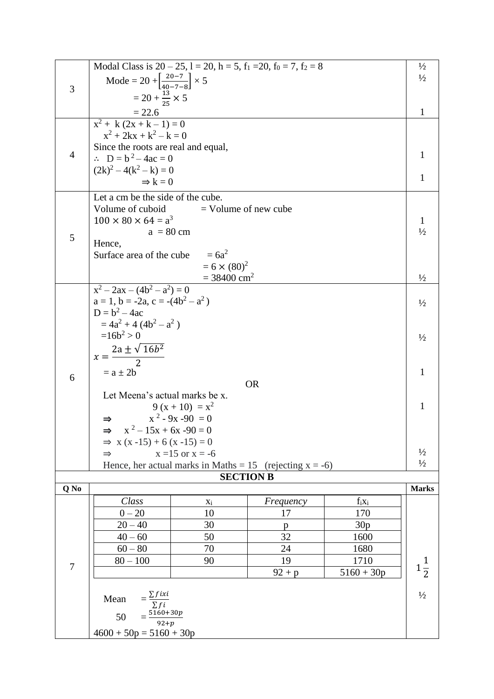|                | Modal Class is $20 - 25$ , $1 = 20$ , $h = 5$ , $f_1 = 20$ , $f_0 = 7$ , $f_2 = 8$ |                                                  |                 |                  | $\frac{1}{2}$  |  |
|----------------|------------------------------------------------------------------------------------|--------------------------------------------------|-----------------|------------------|----------------|--|
| 3              | Mode = 20 + $\left[\frac{20-7}{40-7-8}\right]$ × 5                                 |                                                  |                 |                  | $\frac{1}{2}$  |  |
|                |                                                                                    |                                                  |                 |                  |                |  |
|                | $= 20 + \frac{13}{25} \times 5$                                                    |                                                  |                 |                  | 1              |  |
|                | $\frac{22.6}{x^2 + k(2x + k - 1)} = 0$                                             |                                                  |                 |                  |                |  |
|                |                                                                                    |                                                  |                 |                  |                |  |
|                | $x^2 + 2kx + k^2 - k = 0$                                                          |                                                  |                 |                  |                |  |
| $\overline{4}$ | Since the roots are real and equal,                                                |                                                  |                 |                  | 1              |  |
|                | $\therefore$ D = b <sup>2</sup> – 4ac = 0                                          |                                                  |                 |                  |                |  |
|                | $(2k)^2 - 4(k^2 - k) = 0$                                                          |                                                  |                 |                  | 1              |  |
|                | $\Rightarrow k = 0$                                                                |                                                  |                 |                  |                |  |
|                | Let a cm be the side of the cube.                                                  |                                                  |                 |                  |                |  |
|                | Volume of cuboid                                                                   | $=$ Volume of new cube                           |                 |                  |                |  |
|                | $100 \times 80 \times 64 = a^3$                                                    |                                                  |                 |                  | 1              |  |
| 5              | $a = 80$ cm                                                                        |                                                  |                 |                  | $\frac{1}{2}$  |  |
|                | Hence,                                                                             |                                                  |                 |                  |                |  |
|                | Surface area of the cube                                                           | $= 6a^2$                                         |                 |                  |                |  |
|                |                                                                                    | $= 6 \times (80)^2$<br>$= 38400$ cm <sup>2</sup> |                 |                  | $\frac{1}{2}$  |  |
|                | $x^2-2ax-(4b^2-a^2)=0$                                                             |                                                  |                 |                  |                |  |
|                | $a = 1$ , $b = -2a$ , $c = -(4b2 – a2)$                                            |                                                  |                 |                  |                |  |
|                | $D = b^2 - 4ac$                                                                    |                                                  |                 |                  | $\frac{1}{2}$  |  |
|                | $= 4a^2 + 4(4b^2 - a^2)$                                                           |                                                  |                 |                  |                |  |
|                | $=16b^2 > 0$                                                                       |                                                  |                 |                  |                |  |
|                |                                                                                    |                                                  |                 |                  |                |  |
|                | $x=\frac{2a\pm\sqrt{16b^2}}{2}$                                                    |                                                  |                 |                  |                |  |
|                | $= a \pm 2b$                                                                       |                                                  |                 |                  | $\mathbf{1}$   |  |
| 6              | <b>OR</b>                                                                          |                                                  |                 |                  |                |  |
|                | Let Meena's actual marks be x.                                                     |                                                  |                 |                  |                |  |
|                |                                                                                    | $9(x+10) = x^2$                                  |                 |                  | 1              |  |
|                | $x^2 - 9x - 90 = 0$                                                                |                                                  |                 |                  |                |  |
|                | $x^2 - 15x + 6x - 90 = 0$                                                          |                                                  |                 |                  |                |  |
|                | $\Rightarrow$ x (x-15) + 6 (x-15) = 0                                              |                                                  |                 |                  |                |  |
|                | $x = 15$ or $x = -6$<br>$\Rightarrow$                                              |                                                  |                 |                  | $\frac{1}{2}$  |  |
|                | Hence, her actual marks in Maths = $15$ (rejecting x = -6)                         |                                                  |                 |                  | $\frac{1}{2}$  |  |
|                |                                                                                    | <b>SECTION B</b>                                 |                 |                  |                |  |
| Q No           |                                                                                    |                                                  |                 |                  | <b>Marks</b>   |  |
|                | Class<br>$0 - 20$                                                                  | $X_i$<br>10                                      | Frequency<br>17 | $f_i x_i$<br>170 |                |  |
|                |                                                                                    |                                                  |                 |                  |                |  |
|                | $20 - 40$<br>$40 - 60$                                                             | 30<br>50                                         | p<br>32         | 30p<br>1600      |                |  |
|                | $60 - 80$                                                                          | 70                                               | 24              | 1680             |                |  |
|                | $80 - 100$                                                                         | 90                                               | 19              | 1710             |                |  |
| $\overline{7}$ |                                                                                    |                                                  | $92 + p$        | $5160 + 30p$     | $1\frac{1}{2}$ |  |
|                |                                                                                    |                                                  |                 |                  |                |  |
|                | Mean                                                                               |                                                  |                 |                  | $1/2$          |  |
|                |                                                                                    |                                                  |                 |                  |                |  |
|                | $tan \frac{2 f i x i}{\sum f i}$<br>50 $=\frac{5160+30p}{92+p}$                    |                                                  |                 |                  |                |  |
|                | $4600 + 50p = 5160 + 30p$                                                          |                                                  |                 |                  |                |  |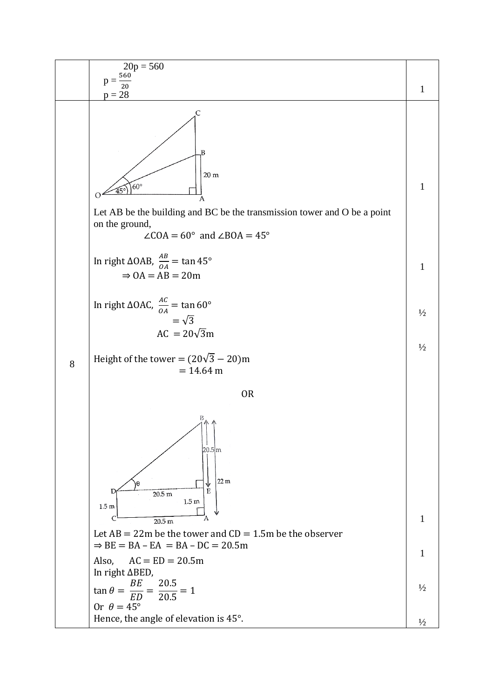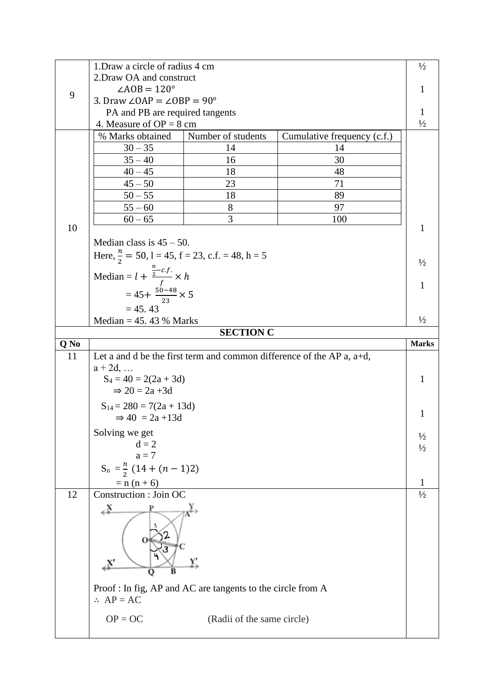|      | 1. Draw a circle of radius 4 cm                            |                                                            |                                                                             | $\frac{1}{2}$      |  |
|------|------------------------------------------------------------|------------------------------------------------------------|-----------------------------------------------------------------------------|--------------------|--|
|      | 2. Draw OA and construct                                   |                                                            |                                                                             |                    |  |
|      | $\angle AOB = 120^\circ$                                   |                                                            |                                                                             |                    |  |
| 9    | 1<br>3. Draw $\angle$ OAP = $\angle$ OBP = 90°             |                                                            |                                                                             |                    |  |
|      | PA and PB are required tangents<br>1                       |                                                            |                                                                             |                    |  |
|      | $\frac{1}{2}$<br>4. Measure of $OP = 8$ cm                 |                                                            |                                                                             |                    |  |
|      | % Marks obtained                                           | Number of students                                         | Cumulative frequency (c.f.)                                                 |                    |  |
|      | $30 - 35$                                                  | 14                                                         | 14                                                                          |                    |  |
|      | $35 - 40$                                                  | 16                                                         | 30                                                                          |                    |  |
|      | $40 - 45$                                                  | 18                                                         | 48                                                                          |                    |  |
|      | $45 - 50$                                                  | 23                                                         | 71                                                                          |                    |  |
|      | $50 - 55$                                                  | 18                                                         | 89                                                                          |                    |  |
|      | $55 - 60$                                                  | 8                                                          | 97                                                                          |                    |  |
|      | $60 - 65$                                                  | 3                                                          | 100                                                                         |                    |  |
| 10   |                                                            |                                                            |                                                                             | 1                  |  |
|      | Median class is $45 - 50$ .                                |                                                            |                                                                             |                    |  |
|      |                                                            |                                                            |                                                                             |                    |  |
|      | Here, $\frac{n}{2}$ = 50, 1 = 45, f = 23, c.f. = 48, h = 5 |                                                            |                                                                             |                    |  |
|      | Median = $l + \frac{\frac{n}{2} - c.f.}{f} \times h$       |                                                            |                                                                             | $\frac{1}{2}$<br>1 |  |
|      | $=45+\frac{50-48}{23}\times 5$                             |                                                            |                                                                             |                    |  |
|      |                                                            |                                                            |                                                                             |                    |  |
|      | $= 45.43$                                                  |                                                            |                                                                             |                    |  |
|      | Median = $45.43%$ Marks                                    |                                                            |                                                                             | $\frac{1}{2}$      |  |
|      |                                                            | <b>SECTION C</b>                                           |                                                                             |                    |  |
| Q No |                                                            |                                                            |                                                                             | <b>Marks</b>       |  |
|      |                                                            |                                                            |                                                                             |                    |  |
| 11   |                                                            |                                                            | Let a and d be the first term and common difference of the AP $a$ , $a+d$ , |                    |  |
|      | $a + 2d, \ldots$                                           |                                                            |                                                                             |                    |  |
|      | $S_4 = 40 = 2(2a + 3d)$                                    |                                                            |                                                                             | 1                  |  |
|      | $\Rightarrow$ 20 = 2a +3d                                  |                                                            |                                                                             |                    |  |
|      | $S_{14} = 280 = 7(2a + 13d)$                               |                                                            |                                                                             | 1                  |  |
|      | $\Rightarrow$ 40 = 2a +13d                                 |                                                            |                                                                             |                    |  |
|      | Solving we get                                             |                                                            |                                                                             | $\frac{1}{2}$      |  |
|      | $d = 2$                                                    |                                                            |                                                                             | $\frac{1}{2}$      |  |
|      | $a = 7$                                                    |                                                            |                                                                             |                    |  |
|      | $S_n = \frac{n}{2} (14 + (n-1)2)$                          |                                                            |                                                                             |                    |  |
|      | $= n (n + 6)$                                              |                                                            |                                                                             | $\mathbf{1}$       |  |
| 12   | Construction : Join OC                                     |                                                            |                                                                             | $\frac{1}{2}$      |  |
|      | ≚∡                                                         |                                                            |                                                                             |                    |  |
|      |                                                            |                                                            |                                                                             |                    |  |
|      |                                                            |                                                            |                                                                             |                    |  |
|      |                                                            |                                                            |                                                                             |                    |  |
|      | x'                                                         |                                                            |                                                                             |                    |  |
|      | в<br>Q                                                     |                                                            |                                                                             |                    |  |
|      |                                                            |                                                            |                                                                             |                    |  |
|      | $\therefore AP = AC$                                       | Proof: In fig, AP and AC are tangents to the circle from A |                                                                             |                    |  |
|      |                                                            |                                                            |                                                                             |                    |  |
|      | $OP = OC$                                                  | (Radii of the same circle)                                 |                                                                             |                    |  |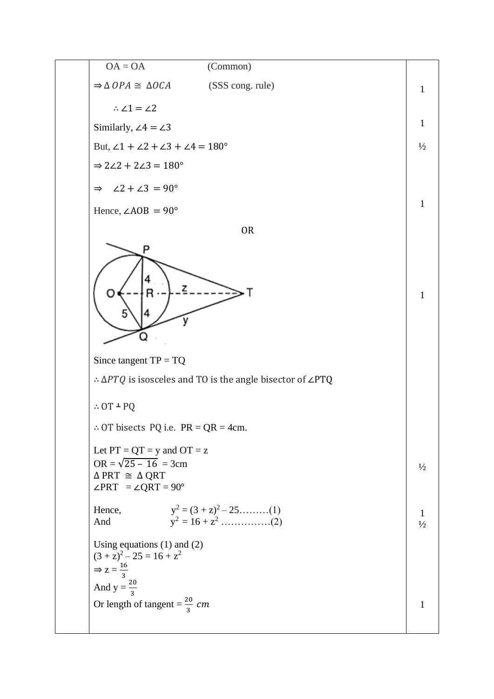OA = OA (Common) ⇒ ∆ ≅ ∆ (SSS cong. rule) 1 ∴ ∠1 = ∠2 1 Similarly, ∠4 = ∠3 But, ∠1 + ∠2 + ∠3 + ∠4 = 180° ½ ⇒ 2∠2 + 2∠3 = 180° ⇒ ∠2 + ∠3 = 90° 1 Hence, ∠AOB = 90° OR 1 Since tangent TP = TQ ∴ ∆ is isosceles and TO is the angle bisector of ∠PTQ <sup>∴</sup> OT ˔ PQ ∴ OT bisects PQ i.e. PR = QR = 4cm. Let PT = QT = y and OT = z OR = √25 – 16 = 3cm ½ ∆ PRT ≅ ∆ QRT ∠PRT = ∠QRT = 90° Hence, y<sup>2</sup> = (3 + z)<sup>2</sup> – 25………(1) 1 And y<sup>2</sup>= 16 + z<sup>2</sup> ……………(2) ½ Using equations (1) and (2) (3 + z)<sup>2</sup> – 25 = 16 + z<sup>2</sup> 16 ⇒ z = 3 And y = <sup>20</sup> 3 Or length of tangent = <sup>20</sup> 13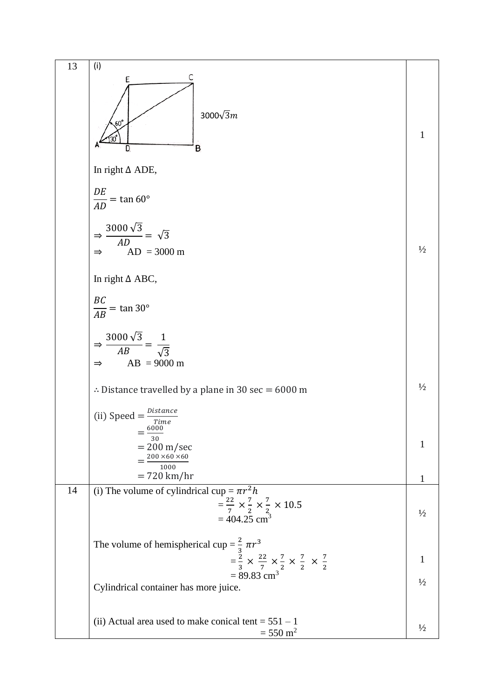13 (i)  
\n
$$
\frac{E}{AD} = \frac{C}{100}
$$
\n
$$
\frac{1}{2000\sqrt{3}m}
$$
\n
$$
\frac{DE}{AD} = \tan 60^\circ
$$
\n
$$
\frac{3000\sqrt{3}}{\sqrt{2}} = \sqrt{3}
$$
\n
$$
\Rightarrow \frac{3000\sqrt{3}}{\sqrt{4B}} = \frac{1}{\sqrt{3}}
$$
\n
$$
\Rightarrow \frac{3000\sqrt{3}}{\sqrt{4B}} = \frac{1}{\sqrt{3}}
$$
\n
$$
\Rightarrow \frac{3000\sqrt{3}}{\sqrt{4B}} = \frac{1}{\sqrt{3}}
$$
\n
$$
\Rightarrow \frac{3000\sqrt{3}}{\sqrt{4B}} = \frac{1}{\sqrt{3}}
$$
\n
$$
\Rightarrow \frac{2000\pi}{15} = \frac{1}{\sqrt{3}}
$$
\n
$$
\Rightarrow \frac{200\pi}{15} = \frac{1}{\sqrt{3}}
$$
\n
$$
\Rightarrow \frac{200\pi}{15} = \frac{1}{\sqrt{3}}
$$
\n
$$
\Rightarrow \frac{200\pi}{15} = \frac{1}{\sqrt{3}}
$$
\n
$$
\Rightarrow \frac{200\pi}{15} = \frac{1}{\sqrt{3}}
$$
\n
$$
\Rightarrow \frac{200\pi}{15} = \frac{1}{\sqrt{3}}
$$
\n
$$
\Rightarrow \frac{200\pi}{15} = \frac{1}{\sqrt{3}}
$$
\n
$$
\Rightarrow \frac{200\pi}{15} = \frac{1}{\sqrt{3}}
$$
\n
$$
\Rightarrow \frac{200\pi}{15} = \frac{1}{\sqrt{3}}
$$
\n
$$
\Rightarrow \frac{200\pi}{15} = \frac{1}{\sqrt{3}}
$$
\n
$$
\Rightarrow \frac{2}{\sqrt{3}} = \frac{1}{\sqrt{3}} = \frac{1}{\sqrt{3}}
$$
\n
$$
\Rightarrow \frac{2}{\sqrt{3}} = \frac{1}{\sqrt{3}} = \frac{1}{\sqrt{3}}
$$
\n
$$
\Rightarrow \frac{2}{\sqrt{3}} = \frac{1}{\sqrt{3}} = \frac{1}{\sqrt{3}}
$$
\n
$$
\Rightarrow \frac{2}{\sqrt{3}} = \frac{1}{\sqrt{3}}
$$
\n
$$
\Rightarrow \frac
$$